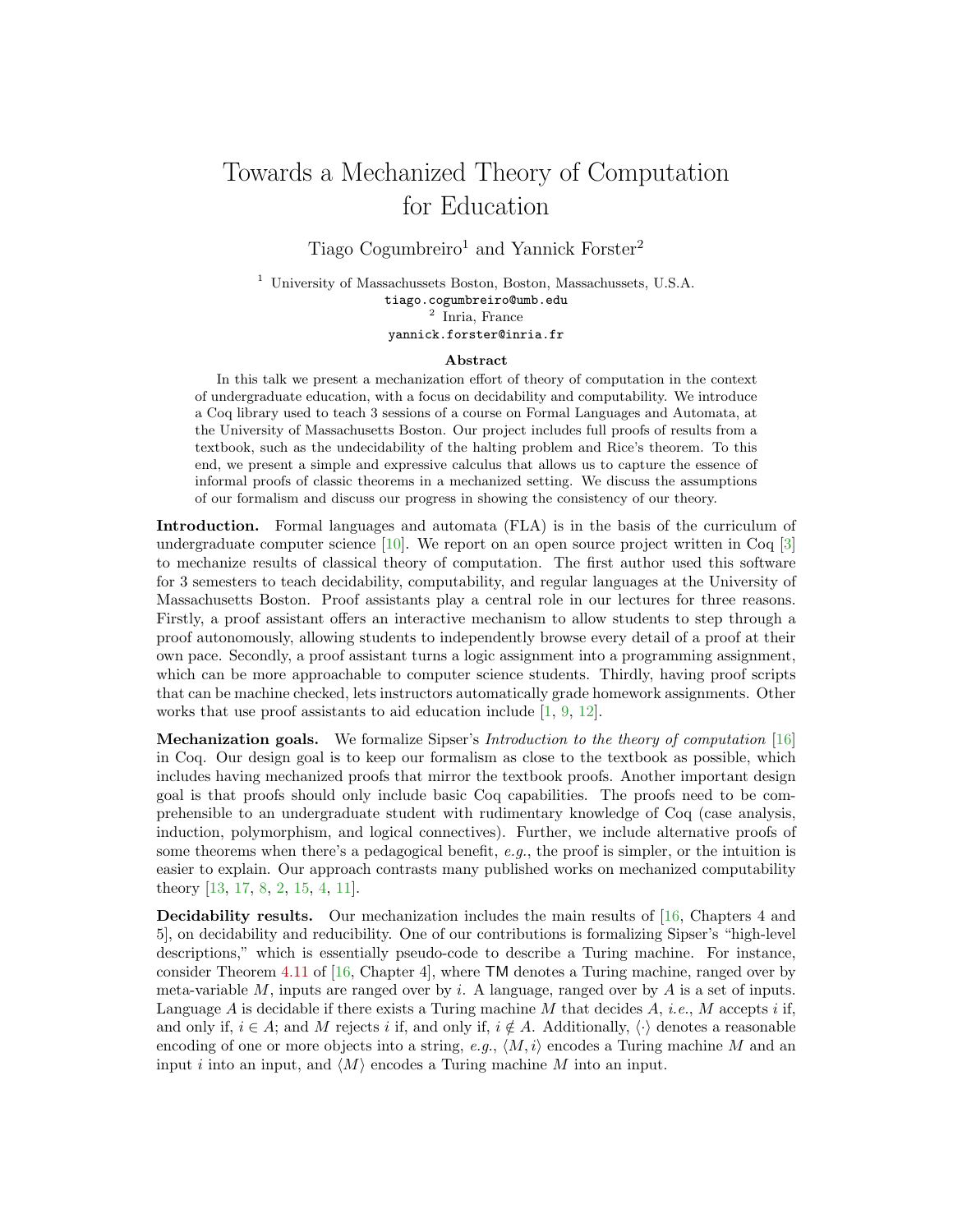## Towards a Mechanized Theory of Computation for Education

Tiago Cogumbreiro<sup>1</sup> and Yannick Forster<sup>2</sup>

<sup>1</sup> University of Massachussets Boston, Boston, Massachussets, U.S.A. tiago.cogumbreiro@umb.edu 2 Inria, France yannick.forster@inria.fr

## Abstract

In this talk we present a mechanization effort of theory of computation in the context of undergraduate education, with a focus on decidability and computability. We introduce a Coq library used to teach 3 sessions of a course on Formal Languages and Automata, at the University of Massachusetts Boston. Our project includes full proofs of results from a textbook, such as the undecidability of the halting problem and Rice's theorem. To this end, we present a simple and expressive calculus that allows us to capture the essence of informal proofs of classic theorems in a mechanized setting. We discuss the assumptions of our formalism and discuss our progress in showing the consistency of our theory.

Introduction. Formal languages and automata (FLA) is in the basis of the curriculum of undergraduate computer science  $[10]$ . We report on an open source project written in Coq  $[3]$ to mechanize results of classical theory of computation. The first author used this software for 3 semesters to teach decidability, computability, and regular languages at the University of Massachusetts Boston. Proof assistants play a central role in our lectures for three reasons. Firstly, a proof assistant offers an interactive mechanism to allow students to step through a proof autonomously, allowing students to independently browse every detail of a proof at their own pace. Secondly, a proof assistant turns a logic assignment into a programming assignment, which can be more approachable to computer science students. Thirdly, having proof scripts that can be machine checked, lets instructors automatically grade homework assignments. Other works that use proof assistants to aid education include [\[1,](#page-2-2) [9,](#page-2-3) [12\]](#page-2-4).

Mechanization goals. We formalize Sipser's Introduction to the theory of computation [\[16\]](#page-2-5) in Coq. Our design goal is to keep our formalism as close to the textbook as possible, which includes having mechanized proofs that mirror the textbook proofs. Another important design goal is that proofs should only include basic Coq capabilities. The proofs need to be comprehensible to an undergraduate student with rudimentary knowledge of Coq (case analysis, induction, polymorphism, and logical connectives). Further, we include alternative proofs of some theorems when there's a pedagogical benefit,  $e.g.,$  the proof is simpler, or the intuition is easier to explain. Our approach contrasts many published works on mechanized computability theory [\[13,](#page-2-6) [17,](#page-2-7) [8,](#page-2-8) [2,](#page-2-9) [15,](#page-2-10) [4,](#page-2-11) [11\]](#page-2-12).

<span id="page-0-0"></span>Decidability results. Our mechanization includes the main results of [\[16,](#page-2-5) Chapters 4 and 5], on decidability and reducibility. One of our contributions is formalizing Sipser's "high-level descriptions," which is essentially pseudo-code to describe a Turing machine. For instance, consider Theorem [4.11](#page-0-0) of [\[16,](#page-2-5) Chapter 4], where TM denotes a Turing machine, ranged over by meta-variable M, inputs are ranged over by i. A language, ranged over by  $\tilde{A}$  is a set of inputs. Language  $A$  is decidable if there exists a Turing machine  $M$  that decides  $A$ , *i.e.*,  $M$  accepts  $i$  if, and only if,  $i \in A$ ; and M rejects i if, and only if,  $i \notin A$ . Additionally,  $\langle \cdot \rangle$  denotes a reasonable encoding of one or more objects into a string, e.g.,  $\langle M, i \rangle$  encodes a Turing machine M and an input *i* into an input, and  $\langle M \rangle$  encodes a Turing machine M into an input.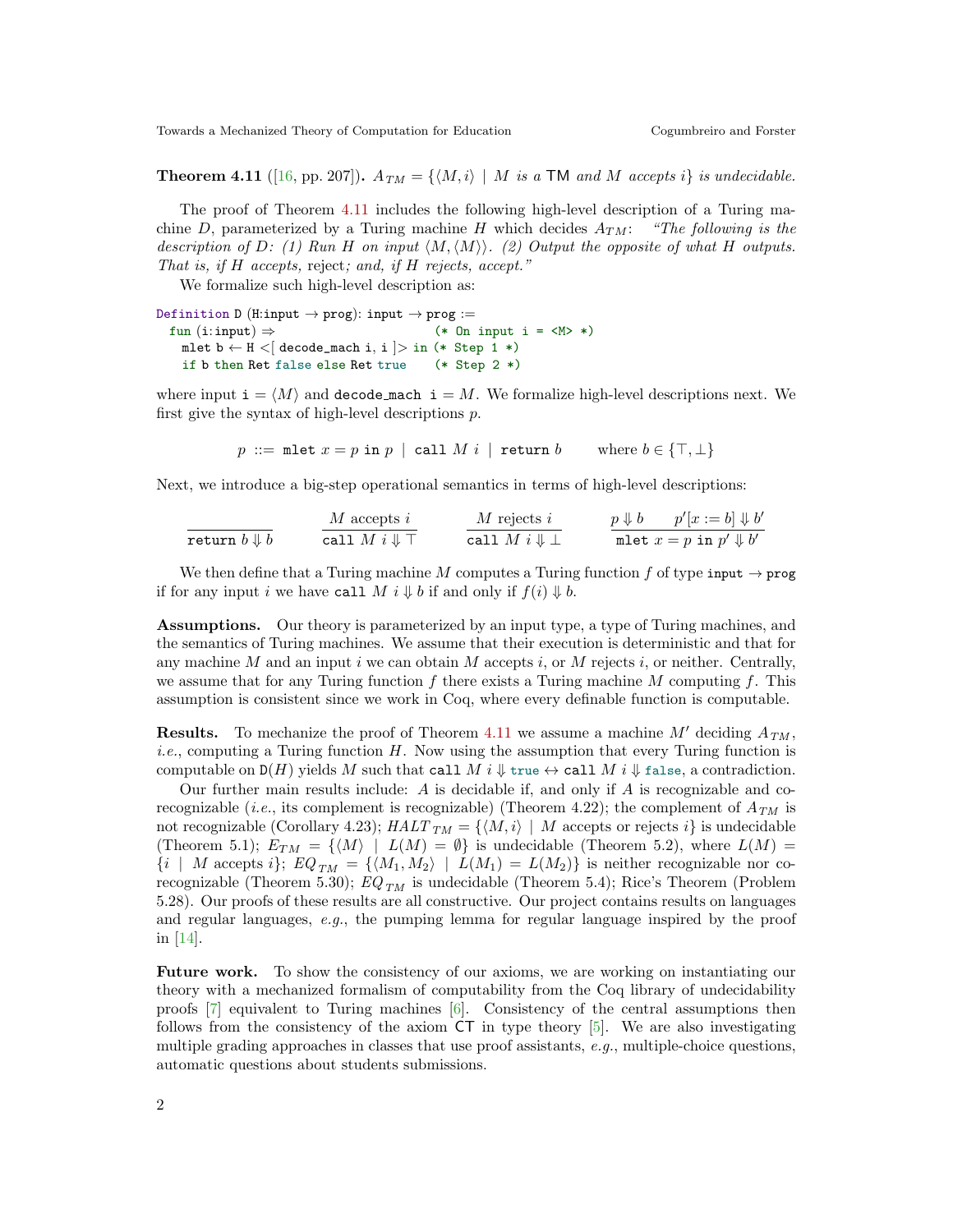Towards a Mechanized Theory of Computation for Education Cogumbreiro and Forster

**Theorem 4.11** ([\[16,](#page-2-5) pp. 207]).  $A_{TM} = \{ \langle M, i \rangle \mid M \text{ is a TM and } M \text{ accepts } i \}$  is undecidable.

The proof of Theorem [4.11](#page-0-0) includes the following high-level description of a Turing machine D, parameterized by a Turing machine H which decides  $A_{TM}$ : "The following is the description of D: (1) Run H on input  $\langle M, \langle M \rangle \rangle$ . (2) Output the opposite of what H outputs. That is, if H accepts, reject; and, if H rejects, accept."

We formalize such high-level description as:

Definition D (H:input  $\rightarrow$  prog): input  $\rightarrow$  prog := fun (i:input)  $\Rightarrow$  (\* 0n input i = <M> \*) mlet  $b \leftarrow H \langle$  decode\_mach i, i  $\rangle$  in (\* Step 1 \*) if b then Ret false else Ret true (\* Step 2 \*)

where input  $\mathbf{i} = \langle M \rangle$  and decode mach  $\mathbf{i} = M$ . We formalize high-level descriptions next. We first give the syntax of high-level descriptions p.

p ::= mlet  $x = p$  in p | call M i | return b where  $b \in \{\top, \bot\}$ 

Next, we introduce a big-step operational semantics in terms of high-level descriptions:

| $M$ accepts $i$  | $M$ rejects $i$            | $p \Downarrow b$ | $p'[x := b] \Downarrow b'$ |
|------------------|----------------------------|------------------|----------------------------|
| $p \Downarrow b$ | $p'[x := b] \Downarrow b'$ |                  |                            |
| $p \Downarrow b$ | $p'[x := b] \Downarrow b'$ |                  |                            |

We then define that a Turing machine M computes a Turing function f of type input  $\rightarrow$  prog if for any input i we have call M i  $\Downarrow$  b if and only if  $f(i) \Downarrow b$ .

Assumptions. Our theory is parameterized by an input type, a type of Turing machines, and the semantics of Turing machines. We assume that their execution is deterministic and that for any machine M and an input i we can obtain M accepts i, or M rejects i, or neither. Centrally, we assume that for any Turing function f there exists a Turing machine  $M$  computing f. This assumption is consistent since we work in Coq, where every definable function is computable.

**Results.** To mechanize the proof of Theorem [4.11](#page-0-0) we assume a machine M' deciding  $A_{TM}$ , *i.e.*, computing a Turing function  $H$ . Now using the assumption that every Turing function is computable on  $D(H)$  yields M such that call M i  $\Downarrow$  true  $\leftrightarrow$  call M i  $\Downarrow$  false, a contradiction.

Our further main results include:  $A$  is decidable if, and only if  $A$  is recognizable and corecognizable (*i.e.*, its complement is recognizable) (Theorem 4.22); the complement of  $A_{TM}$  is not recognizable (Corollary 4.23);  $HALT_{TM} = \{ \langle M, i \rangle \mid M \text{ accepts or rejects } i \}$  is undecidable (Theorem 5.1);  $E_{TM} = \{ \langle M \rangle \mid L(M) = \emptyset \}$  is undecidable (Theorem 5.2), where  $L(M) =$  $\{i \mid M \text{ accepts } i\}; EQ_{TM} = \{\langle M_1, M_2 \rangle \mid L(M_1) = L(M_2)\}\$  is neither recognizable nor corecognizable (Theorem 5.30);  $EQ_{TM}$  is undecidable (Theorem 5.4); Rice's Theorem (Problem 5.28). Our proofs of these results are all constructive. Our project contains results on languages and regular languages, e.g., the pumping lemma for regular language inspired by the proof in [\[14\]](#page-2-13).

Future work. To show the consistency of our axioms, we are working on instantiating our theory with a mechanized formalism of computability from the Coq library of undecidability proofs [\[7\]](#page-2-14) equivalent to Turing machines [\[6\]](#page-2-15). Consistency of the central assumptions then follows from the consistency of the axiom CT in type theory [\[5\]](#page-2-16). We are also investigating multiple grading approaches in classes that use proof assistants,  $e.g.,$  multiple-choice questions, automatic questions about students submissions.